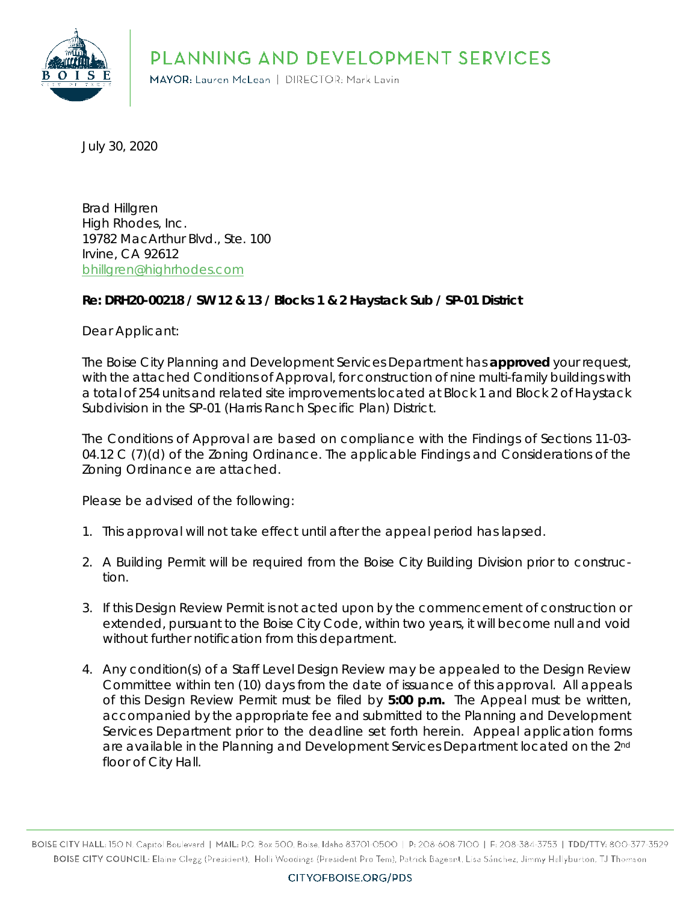PLANNING AND DEVELOPMENT SERVICES



MAYOR: Lauren McLean | DIRECTOR: Mark Lavin

July 30, 2020

Brad Hillgren High Rhodes, Inc. 19782 MacArthur Blvd., Ste. 100 Irvine, CA 92612 [bhillgren@highrhodes.com](mailto:bhillgren@highrhodes.com)

#### **Re: DRH20-00218 / SW 12 & 13 / Blocks 1 & 2 Haystack Sub / SP-01 District**

Dear Applicant:

The Boise City Planning and Development Services Department has **approved** your request, with the attached Conditions of Approval, for construction of nine multi-family buildings with a total of 254 units and related site improvements located at Block 1 and Block 2 of Haystack Subdivision in the SP-01 (Harris Ranch Specific Plan) District.

The Conditions of Approval are based on compliance with the Findings of Sections 11-03- 04.12 C (7)(d) of the Zoning Ordinance. The applicable Findings and Considerations of the Zoning Ordinance are attached.

Please be advised of the following:

- 1. This approval will not take effect until after the appeal period has lapsed.
- 2. A Building Permit will be required from the Boise City Building Division prior to construction.
- 3. If this Design Review Permit is not acted upon by the commencement of construction or extended, pursuant to the Boise City Code, within two years, it will become null and void without further notification from this department.
- 4. Any condition(s) of a Staff Level Design Review may be appealed to the Design Review Committee within ten (10) days from the date of issuance of this approval. All appeals of this Design Review Permit must be filed by **5:00 p.m.** The Appeal must be written, accompanied by the appropriate fee and submitted to the Planning and Development Services Department prior to the deadline set forth herein. Appeal application forms are available in the Planning and Development Services Department located on the 2<sup>nd</sup> floor of City Hall.

BOISE CITY HALL: 150 N. Capitol Boulevard | MAIL: P.O. Box 500, Boise, Idaho 83701-0500 | P: 208-608-7100 | F: 208-384-3753 | TDD/TTY: 800-377-3529 BOISE CITY COUNCIL: Elaine Clegg (President), Holli Woodings (President Pro Tem), Patrick Bageant, Lisa Sánchez, Jimmy Hallyburton, TJ Thomson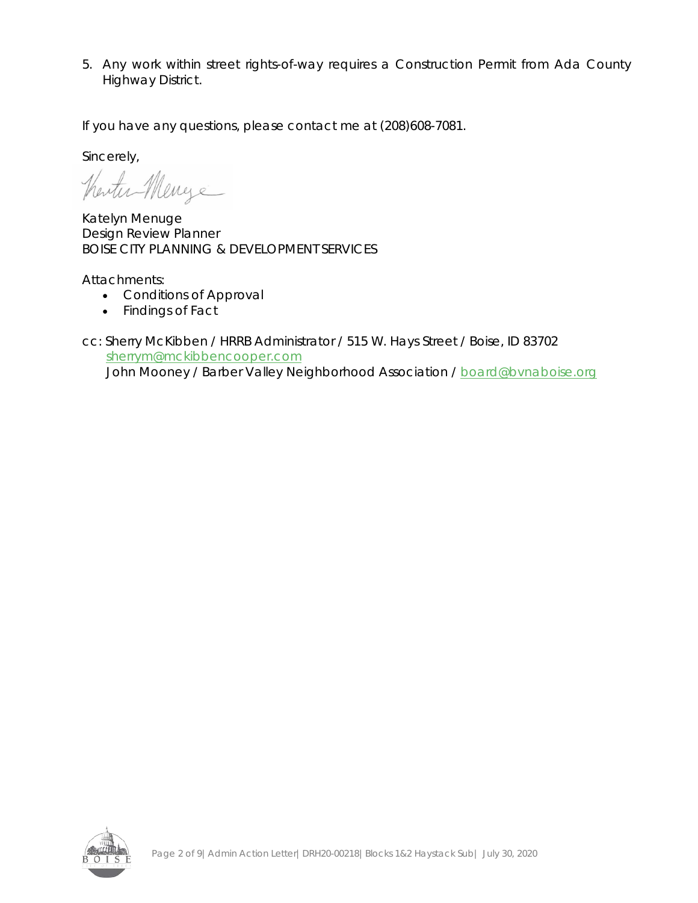5. Any work within street rights-of-way requires a Construction Permit from Ada County Highway District.

If you have any questions, please contact me at (208)608-7081.

Sincerely,

Therter Menge

Katelyn Menuge Design Review Planner BOISE CITY PLANNING & DEVELOPMENT SERVICES

Attachments:

- Conditions of Approval
- Findings of Fact

cc: Sherry McKibben / HRRB Administrator / 515 W. Hays Street / Boise, ID 83702 [sherrym@mckibbencooper.com](mailto:sherrym@mckibbencooper.com) John Mooney / Barber Valley Neighborhood Association / [board@bvnaboise.org](mailto:board@bvnaboise.org)

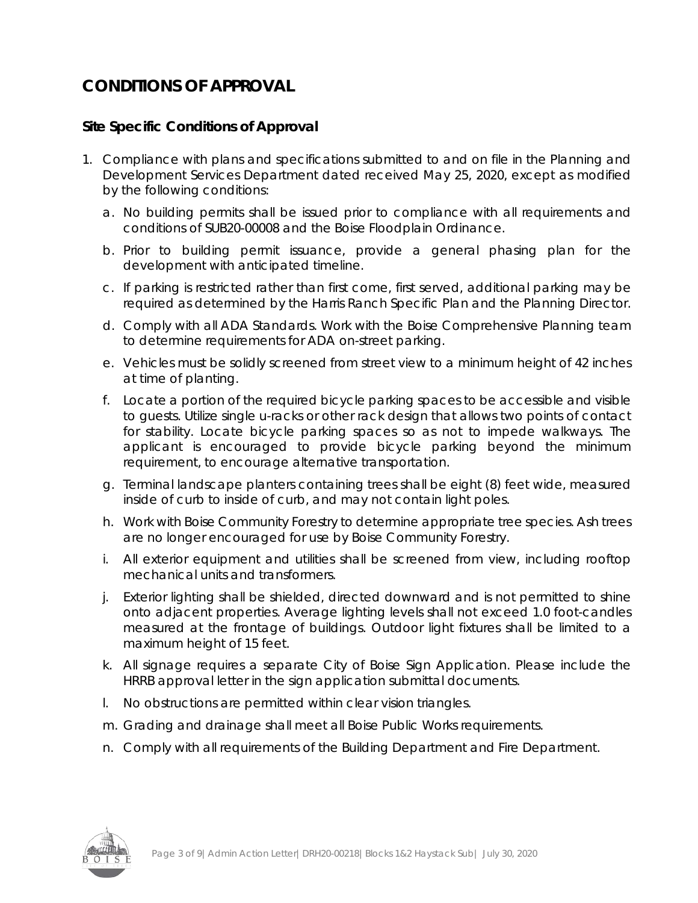# **CONDITIONS OF APPROVAL**

## **Site Specific Conditions of Approval**

- 1. Compliance with plans and specifications submitted to and on file in the Planning and Development Services Department dated received May 25, 2020, except as modified by the following conditions:
	- a. No building permits shall be issued prior to compliance with all requirements and conditions of SUB20-00008 and the Boise Floodplain Ordinance.
	- b. Prior to building permit issuance, provide a general phasing plan for the development with anticipated timeline.
	- c. If parking is restricted rather than first come, first served, additional parking may be required as determined by the Harris Ranch Specific Plan and the Planning Director.
	- d. Comply with all ADA Standards. Work with the Boise Comprehensive Planning team to determine requirements for ADA on-street parking.
	- e. Vehicles must be solidly screened from street view to a minimum height of 42 inches at time of planting.
	- f. Locate a portion of the required bicycle parking spaces to be accessible and visible to guests. Utilize single u-racks or other rack design that allows two points of contact for stability. Locate bicycle parking spaces so as not to impede walkways. The applicant is encouraged to provide bicycle parking beyond the minimum requirement, to encourage alternative transportation.
	- g. Terminal landscape planters containing trees shall be eight (8) feet wide, measured inside of curb to inside of curb, and may not contain light poles.
	- h. Work with Boise Community Forestry to determine appropriate tree species. Ash trees are no longer encouraged for use by Boise Community Forestry.
	- i. All exterior equipment and utilities shall be screened from view, including rooftop mechanical units and transformers.
	- j. Exterior lighting shall be shielded, directed downward and is not permitted to shine onto adjacent properties. Average lighting levels shall not exceed 1.0 foot-candles measured at the frontage of buildings. Outdoor light fixtures shall be limited to a maximum height of 15 feet.
	- k. All signage requires a separate City of Boise Sign Application. Please include the HRRB approval letter in the sign application submittal documents.
	- l. No obstructions are permitted within clear vision triangles.
	- m. Grading and drainage shall meet all Boise Public Works requirements.
	- n. Comply with all requirements of the Building Department and Fire Department.

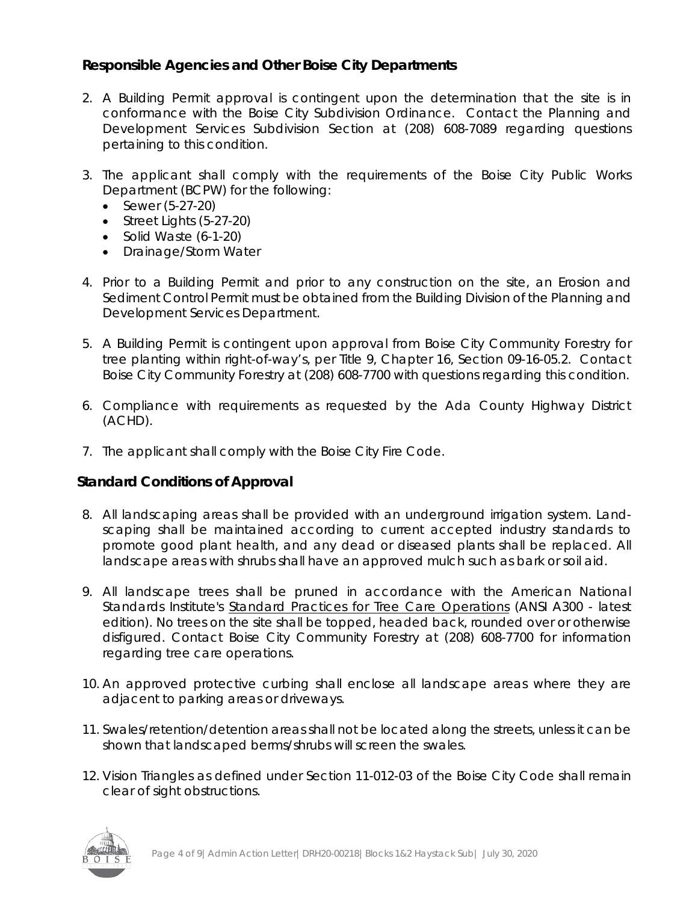## **Responsible Agencies and Other Boise City Departments**

- 2. A Building Permit approval is contingent upon the determination that the site is in conformance with the Boise City Subdivision Ordinance. Contact the Planning and Development Services Subdivision Section at (208) 608-7089 regarding questions pertaining to this condition.
- 3. The applicant shall comply with the requirements of the Boise City Public Works Department (BCPW) for the following:
	- Sewer (5-27-20)
	- Street Lights (5-27-20)
	- Solid Waste (6-1-20)
	- Drainage/Storm Water
- 4. Prior to a Building Permit and prior to any construction on the site, an Erosion and Sediment Control Permit must be obtained from the Building Division of the Planning and Development Services Department.
- 5. A Building Permit is contingent upon approval from Boise City Community Forestry for tree planting within right-of-way's, per Title 9, Chapter 16, Section 09-16-05.2. Contact Boise City Community Forestry at (208) 608-7700 with questions regarding this condition.
- 6. Compliance with requirements as requested by the Ada County Highway District (ACHD).
- 7. The applicant shall comply with the Boise City Fire Code.

## **Standard Conditions of Approval**

- 8. All landscaping areas shall be provided with an underground irrigation system. Landscaping shall be maintained according to current accepted industry standards to promote good plant health, and any dead or diseased plants shall be replaced. All landscape areas with shrubs shall have an approved mulch such as bark or soil aid.
- 9. All landscape trees shall be pruned in accordance with the American National Standards Institute's Standard Practices for Tree Care Operations (ANSI A300 - latest edition). No trees on the site shall be topped, headed back, rounded over or otherwise disfigured. Contact Boise City Community Forestry at (208) 608-7700 for information regarding tree care operations.
- 10. An approved protective curbing shall enclose all landscape areas where they are adjacent to parking areas or driveways.
- 11. Swales/retention/detention areas shall not be located along the streets, unless it can be shown that landscaped berms/shrubs will screen the swales.
- 12. Vision Triangles as defined under Section 11-012-03 of the Boise City Code shall remain clear of sight obstructions.

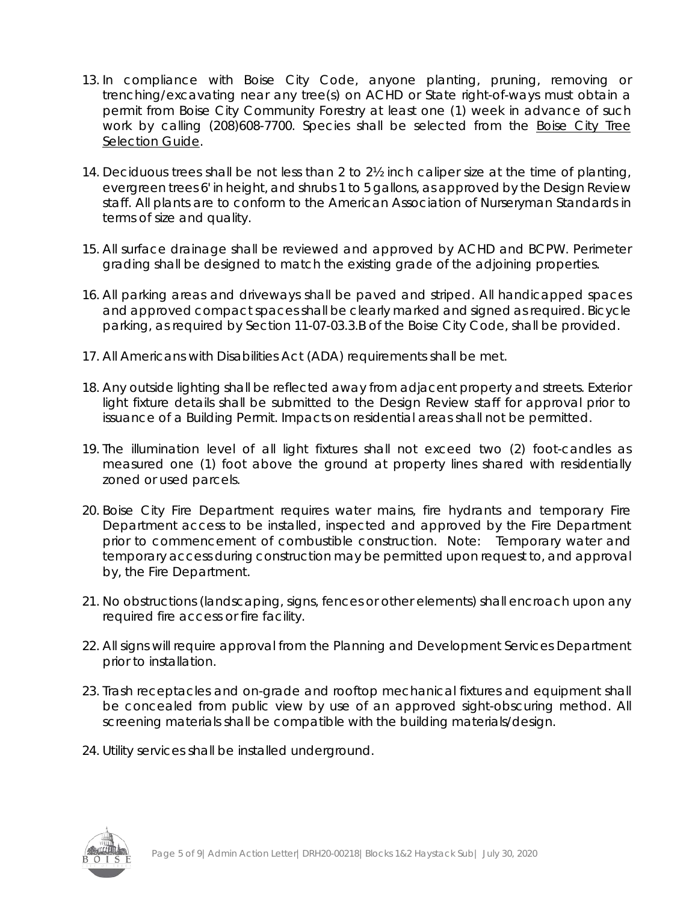- 13. In compliance with Boise City Code, anyone planting, pruning, removing or trenching/excavating near any tree(s) on ACHD or State right-of-ways must obtain a permit from Boise City Community Forestry at least one (1) week in advance of such work by calling (208)608-7700. Species shall be selected from the Boise City Tree Selection Guide.
- 14. Deciduous trees shall be not less than 2 to 2½ inch caliper size at the time of planting, evergreen trees 6' in height, and shrubs 1 to 5 gallons, as approved by the Design Review staff. All plants are to conform to the American Association of Nurseryman Standards in terms of size and quality.
- 15. All surface drainage shall be reviewed and approved by ACHD and BCPW. Perimeter grading shall be designed to match the existing grade of the adjoining properties.
- 16. All parking areas and driveways shall be paved and striped. All handicapped spaces and approved compact spaces shall be clearly marked and signed as required. Bicycle parking, as required by Section 11-07-03.3.B of the Boise City Code, shall be provided.
- 17. All Americans with Disabilities Act (ADA) requirements shall be met.
- 18. Any outside lighting shall be reflected away from adjacent property and streets. Exterior light fixture details shall be submitted to the Design Review staff for approval prior to issuance of a Building Permit. Impacts on residential areas shall not be permitted.
- 19. The illumination level of all light fixtures shall not exceed two (2) foot-candles as measured one (1) foot above the ground at property lines shared with residentially zoned or used parcels.
- 20. Boise City Fire Department requires water mains, fire hydrants and temporary Fire Department access to be installed, inspected and approved by the Fire Department prior to commencement of combustible construction. Note: Temporary water and temporary access during construction may be permitted upon request to, and approval by, the Fire Department.
- 21. No obstructions (landscaping, signs, fences or other elements) shall encroach upon any required fire access or fire facility.
- 22. All signs will require approval from the Planning and Development Services Department prior to installation.
- 23. Trash receptacles and on-grade and rooftop mechanical fixtures and equipment shall be concealed from public view by use of an approved sight-obscuring method. All screening materials shall be compatible with the building materials/design.
- 24. Utility services shall be installed underground.

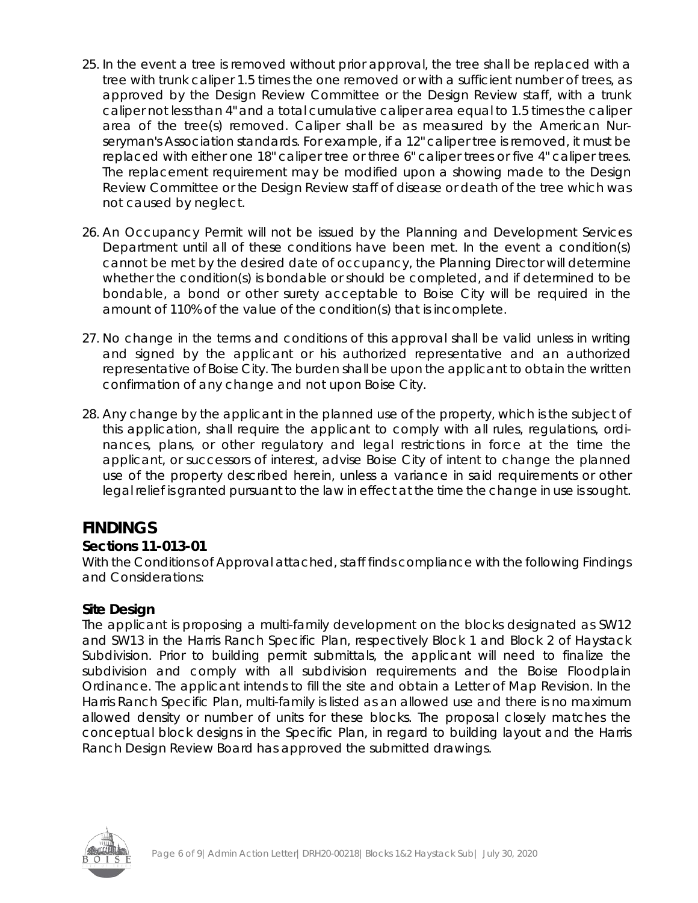- 25. In the event a tree is removed without prior approval, the tree shall be replaced with a tree with trunk caliper 1.5 times the one removed or with a sufficient number of trees, as approved by the Design Review Committee or the Design Review staff, with a trunk caliper not less than 4" and a total cumulative caliper area equal to 1.5 times the caliper area of the tree(s) removed. Caliper shall be as measured by the American Nurseryman's Association standards. For example, if a 12" caliper tree is removed, it must be replaced with either one 18" caliper tree or three 6" caliper trees or five 4" caliper trees. The replacement requirement may be modified upon a showing made to the Design Review Committee or the Design Review staff of disease or death of the tree which was not caused by neglect.
- 26. An Occupancy Permit will not be issued by the Planning and Development Services Department until all of these conditions have been met. In the event a condition(s) cannot be met by the desired date of occupancy, the Planning Director will determine whether the condition(s) is bondable or should be completed, and if determined to be bondable, a bond or other surety acceptable to Boise City will be required in the amount of 110% of the value of the condition(s) that is incomplete.
- 27. No change in the terms and conditions of this approval shall be valid unless in writing and signed by the applicant or his authorized representative and an authorized representative of Boise City. The burden shall be upon the applicant to obtain the written confirmation of any change and not upon Boise City.
- 28. Any change by the applicant in the planned use of the property, which is the subject of this application, shall require the applicant to comply with all rules, regulations, ordinances, plans, or other regulatory and legal restrictions in force at the time the applicant, or successors of interest, advise Boise City of intent to change the planned use of the property described herein, unless a variance in said requirements or other legal relief is granted pursuant to the law in effect at the time the change in use is sought.

## **FINDINGS**

## **Sections 11-013-01**

With the Conditions of Approval attached, staff finds compliance with the following Findings and Considerations:

## **Site Design**

The applicant is proposing a multi-family development on the blocks designated as SW12 and SW13 in the Harris Ranch Specific Plan, respectively Block 1 and Block 2 of Haystack Subdivision. Prior to building permit submittals, the applicant will need to finalize the subdivision and comply with all subdivision requirements and the Boise Floodplain Ordinance. The applicant intends to fill the site and obtain a Letter of Map Revision. In the Harris Ranch Specific Plan, multi-family is listed as an allowed use and there is no maximum allowed density or number of units for these blocks. The proposal closely matches the conceptual block designs in the Specific Plan, in regard to building layout and the Harris Ranch Design Review Board has approved the submitted drawings.

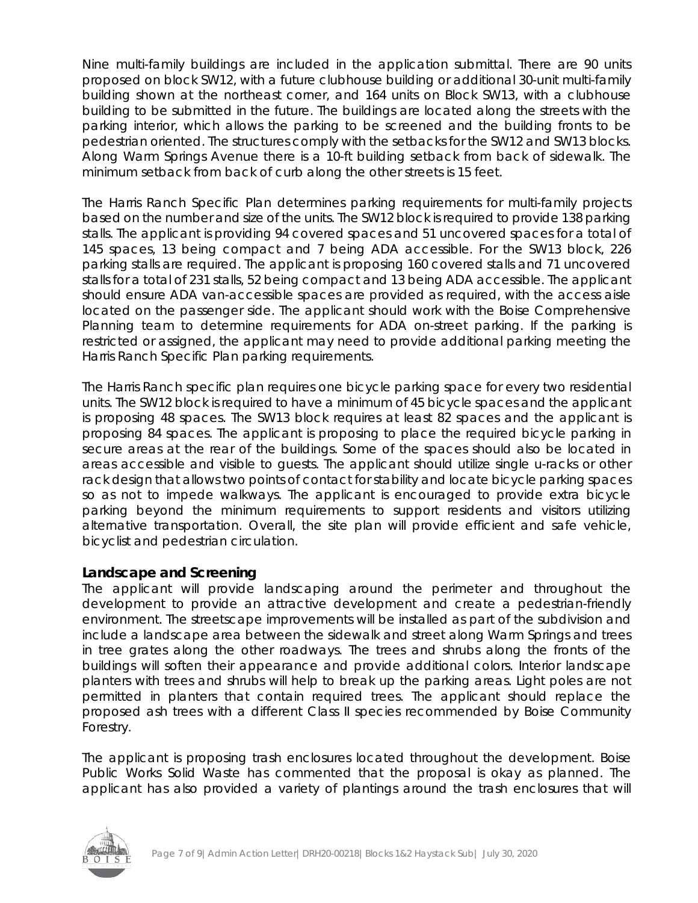Nine multi-family buildings are included in the application submittal. There are 90 units proposed on block SW12, with a future clubhouse building or additional 30-unit multi-family building shown at the northeast corner, and 164 units on Block SW13, with a clubhouse building to be submitted in the future. The buildings are located along the streets with the parking interior, which allows the parking to be screened and the building fronts to be pedestrian oriented. The structures comply with the setbacks for the SW12 and SW13 blocks. Along Warm Springs Avenue there is a 10-ft building setback from back of sidewalk. The minimum setback from back of curb along the other streets is 15 feet.

The Harris Ranch Specific Plan determines parking requirements for multi-family projects based on the number and size of the units. The SW12 block is required to provide 138 parking stalls. The applicant is providing 94 covered spaces and 51 uncovered spaces for a total of 145 spaces, 13 being compact and 7 being ADA accessible. For the SW13 block, 226 parking stalls are required. The applicant is proposing 160 covered stalls and 71 uncovered stalls for a total of 231 stalls, 52 being compact and 13 being ADA accessible. The applicant should ensure ADA van-accessible spaces are provided as required, with the access aisle located on the passenger side. The applicant should work with the Boise Comprehensive Planning team to determine requirements for ADA on-street parking. If the parking is restricted or assigned, the applicant may need to provide additional parking meeting the Harris Ranch Specific Plan parking requirements.

The Harris Ranch specific plan requires one bicycle parking space for every two residential units. The SW12 block is required to have a minimum of 45 bicycle spaces and the applicant is proposing 48 spaces. The SW13 block requires at least 82 spaces and the applicant is proposing 84 spaces. The applicant is proposing to place the required bicycle parking in secure areas at the rear of the buildings. Some of the spaces should also be located in areas accessible and visible to guests. The applicant should utilize single u-racks or other rack design that allows two points of contact for stability and locate bicycle parking spaces so as not to impede walkways. The applicant is encouraged to provide extra bicycle parking beyond the minimum requirements to support residents and visitors utilizing alternative transportation. Overall, the site plan will provide efficient and safe vehicle, bicyclist and pedestrian circulation.

#### **Landscape and Screening**

The applicant will provide landscaping around the perimeter and throughout the development to provide an attractive development and create a pedestrian-friendly environment. The streetscape improvements will be installed as part of the subdivision and include a landscape area between the sidewalk and street along Warm Springs and trees in tree grates along the other roadways. The trees and shrubs along the fronts of the buildings will soften their appearance and provide additional colors. Interior landscape planters with trees and shrubs will help to break up the parking areas. Light poles are not permitted in planters that contain required trees. The applicant should replace the proposed ash trees with a different Class II species recommended by Boise Community Forestry.

The applicant is proposing trash enclosures located throughout the development. Boise Public Works Solid Waste has commented that the proposal is okay as planned. The applicant has also provided a variety of plantings around the trash enclosures that will

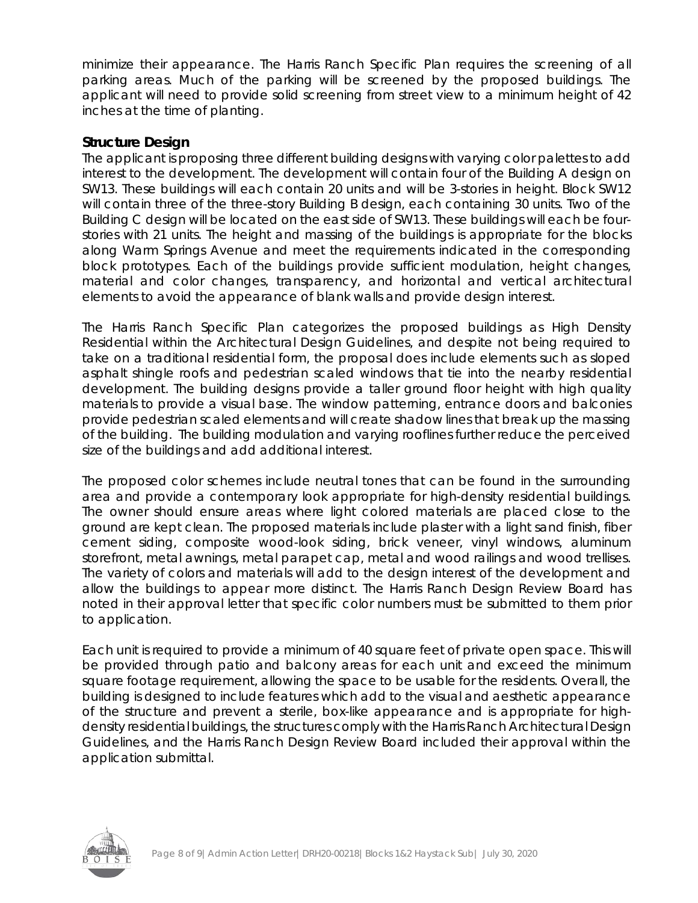minimize their appearance. The Harris Ranch Specific Plan requires the screening of all parking areas. Much of the parking will be screened by the proposed buildings. The applicant will need to provide solid screening from street view to a minimum height of 42 inches at the time of planting.

#### **Structure Design**

The applicant is proposing three different building designs with varying color palettes to add interest to the development. The development will contain four of the Building A design on SW13. These buildings will each contain 20 units and will be 3-stories in height. Block SW12 will contain three of the three-story Building B design, each containing 30 units. Two of the Building C design will be located on the east side of SW13. These buildings will each be fourstories with 21 units. The height and massing of the buildings is appropriate for the blocks along Warm Springs Avenue and meet the requirements indicated in the corresponding block prototypes. Each of the buildings provide sufficient modulation, height changes, material and color changes, transparency, and horizontal and vertical architectural elements to avoid the appearance of blank walls and provide design interest.

The Harris Ranch Specific Plan categorizes the proposed buildings as High Density Residential within the Architectural Design Guidelines, and despite not being required to take on a traditional residential form, the proposal does include elements such as sloped asphalt shingle roofs and pedestrian scaled windows that tie into the nearby residential development. The building designs provide a taller ground floor height with high quality materials to provide a visual base. The window patterning, entrance doors and balconies provide pedestrian scaled elements and will create shadow lines that break up the massing of the building. The building modulation and varying rooflines further reduce the perceived size of the buildings and add additional interest.

The proposed color schemes include neutral tones that can be found in the surrounding area and provide a contemporary look appropriate for high-density residential buildings. The owner should ensure areas where light colored materials are placed close to the ground are kept clean. The proposed materials include plaster with a light sand finish, fiber cement siding, composite wood-look siding, brick veneer, vinyl windows, aluminum storefront, metal awnings, metal parapet cap, metal and wood railings and wood trellises. The variety of colors and materials will add to the design interest of the development and allow the buildings to appear more distinct. The Harris Ranch Design Review Board has noted in their approval letter that specific color numbers must be submitted to them prior to application.

Each unit is required to provide a minimum of 40 square feet of private open space. This will be provided through patio and balcony areas for each unit and exceed the minimum square footage requirement, allowing the space to be usable for the residents. Overall, the building is designed to include features which add to the visual and aesthetic appearance of the structure and prevent a sterile, box-like appearance and is appropriate for highdensity residential buildings, the structures comply with the Harris Ranch Architectural Design Guidelines, and the Harris Ranch Design Review Board included their approval within the application submittal.